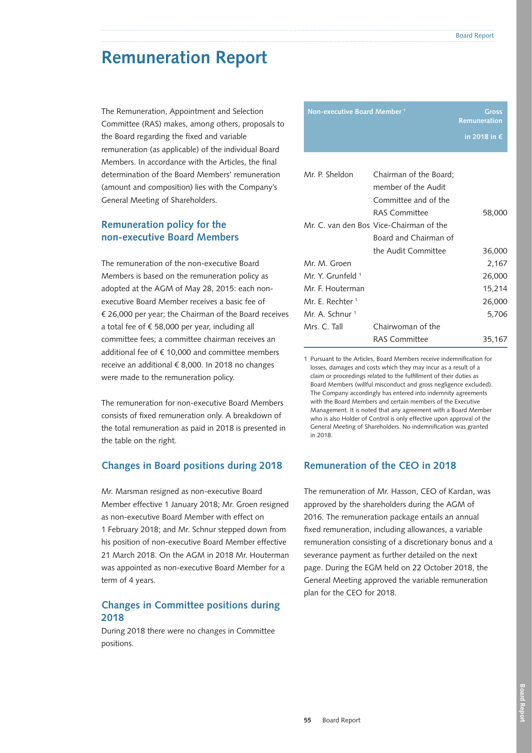# **Remuneration Report**

The Remuneration, Appointment and Selection Committee (RAS) makes, among others, proposals to the Board regarding the fixed and variable remuneration (as applicable) of the individual Board Members. In accordance with the Articles, the final determination of the Board Members' remuneration (amount and composition) lies with the Company's General Meeting of Shareholders.

# **Remuneration policy for the non-executive Board Members**

The remuneration of the non-executive Board Members is based on the remuneration policy as adopted at the AGM of May 28, 2015: each nonexecutive Board Member receives a basic fee of € 26,000 per year; the Chairman of the Board receives a total fee of € 58,000 per year, including all committee fees; a committee chairman receives an additional fee of  $f$  10,000 and committee members receive an additional € 8,000. In 2018 no changes were made to the remuneration policy.

The remuneration for non-executive Board Members consists of fixed remuneration only. A breakdown of the total remuneration as paid in 2018 is presented in the table on the right.

# **Changes in Board positions during 2018**

Mr. Marsman resigned as non-executive Board Member effective 1 January 2018; Mr. Groen resigned as non-executive Board Member with effect on 1 February 2018; and Mr. Schnur stepped down from his position of non-executive Board Member effective 21 March 2018. On the AGM in 2018 Mr. Houterman was appointed as non-executive Board Member for a term of 4 years.

# **Changes in Committee positions during 2018**

During 2018 there were no changes in Committee positions.

| Non-executive Board Member <sup>1</sup> |                                         | Gross<br>Remuneration |
|-----------------------------------------|-----------------------------------------|-----------------------|
|                                         |                                         | in 2018 in €          |
|                                         |                                         |                       |
| Mr. P. Sheldon                          | Chairman of the Board;                  |                       |
|                                         | member of the Audit                     |                       |
|                                         | Committee and of the                    |                       |
|                                         | <b>RAS Committee</b>                    | 58,000                |
|                                         | Mr. C. van den Bos Vice-Chairman of the |                       |
|                                         | Board and Chairman of                   |                       |
|                                         | the Audit Committee                     | 36,000                |
| Mr. M. Groen                            |                                         | 2,167                 |
| Mr. Y. Grunfeld <sup>1</sup>            |                                         | 26,000                |
| Mr. F. Houterman                        |                                         | 15,214                |
| Mr. F. Rechter 1                        |                                         | 26,000                |
| Mr. A. Schnur <sup>1</sup>              |                                         | 5,706                 |
| Mrs. C. Tall                            | Chairwoman of the                       |                       |
|                                         | RAS Committee                           | 35,167                |

1 Pursuant to the Articles, Board Members receive indemnification for losses, damages and costs which they may incur as a result of a claim or proceedings related to the fulfillment of their duties as Board Members (willful misconduct and gross negligence excluded). The Company accordingly has entered into indemnity agreements with the Board Members and certain members of the Executive Management. It is noted that any agreement with a Board Member who is also Holder of Control is only effective upon approval of the General Meeting of Shareholders. No indemnification was granted in 2018.

# **Remuneration of the CEO in 2018**

The remuneration of Mr. Hasson, CEO of Kardan, was approved by the shareholders during the AGM of 2016. The remuneration package entails an annual fixed remuneration, including allowances, a variable remuneration consisting of a discretionary bonus and a severance payment as further detailed on the next page. During the EGM held on 22 October 2018, the General Meeting approved the variable remuneration plan for the CEO for 2018.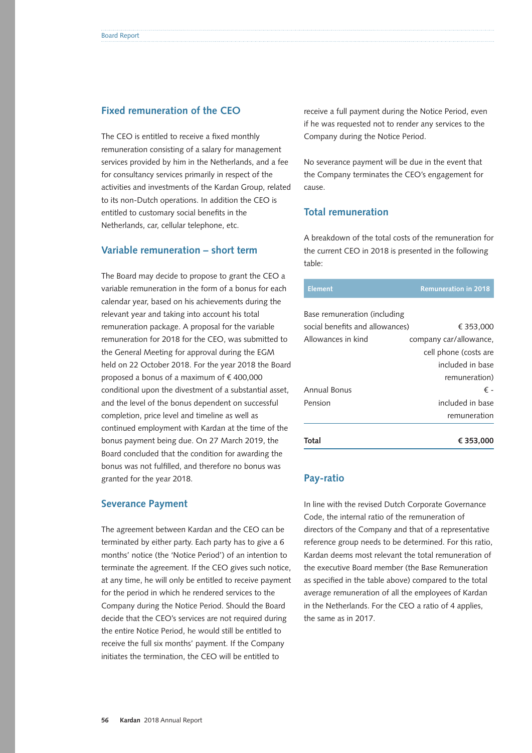#### **Fixed remuneration of the CEO**

The CEO is entitled to receive a fixed monthly remuneration consisting of a salary for management services provided by him in the Netherlands, and a fee for consultancy services primarily in respect of the activities and investments of the Kardan Group, related to its non-Dutch operations. In addition the CEO is entitled to customary social benefits in the Netherlands, car, cellular telephone, etc.

### **Variable remuneration – short term**

The Board may decide to propose to grant the CEO a variable remuneration in the form of a bonus for each calendar year, based on his achievements during the relevant year and taking into account his total remuneration package. A proposal for the variable remuneration for 2018 for the CEO, was submitted to the General Meeting for approval during the EGM held on 22 October 2018. For the year 2018 the Board proposed a bonus of a maximum of € 400,000 conditional upon the divestment of a substantial asset, and the level of the bonus dependent on successful completion, price level and timeline as well as continued employment with Kardan at the time of the bonus payment being due. On 27 March 2019, the Board concluded that the condition for awarding the bonus was not fulfilled, and therefore no bonus was granted for the year 2018.

#### **Severance Payment**

The agreement between Kardan and the CEO can be terminated by either party. Each party has to give a 6 months' notice (the 'Notice Period') of an intention to terminate the agreement. If the CEO gives such notice, at any time, he will only be entitled to receive payment for the period in which he rendered services to the Company during the Notice Period. Should the Board decide that the CEO's services are not required during the entire Notice Period, he would still be entitled to receive the full six months' payment. If the Company initiates the termination, the CEO will be entitled to

receive a full payment during the Notice Period, even if he was requested not to render any services to the Company during the Notice Period.

No severance payment will be due in the event that the Company terminates the CEO's engagement for cause.

### **Total remuneration**

A breakdown of the total costs of the remuneration for the current CEO in 2018 is presented in the following table:

| <b>Element</b>                  | <b>Remuneration in 2018</b> |
|---------------------------------|-----------------------------|
| Base remuneration (including    |                             |
| social benefits and allowances) | € 353,000                   |
| Allowances in kind              | company car/allowance,      |
|                                 | cell phone (costs are       |
|                                 | included in base            |
|                                 | remuneration)               |
| Annual Bonus                    | € -                         |
| Pension                         | included in base            |
|                                 | remuneration                |
| Total                           | € 353,000                   |

#### **Pay-ratio**

In line with the revised Dutch Corporate Governance Code, the internal ratio of the remuneration of directors of the Company and that of a representative reference group needs to be determined. For this ratio, Kardan deems most relevant the total remuneration of the executive Board member (the Base Remuneration as specified in the table above) compared to the total average remuneration of all the employees of Kardan in the Netherlands. For the CEO a ratio of 4 applies, the same as in 2017.